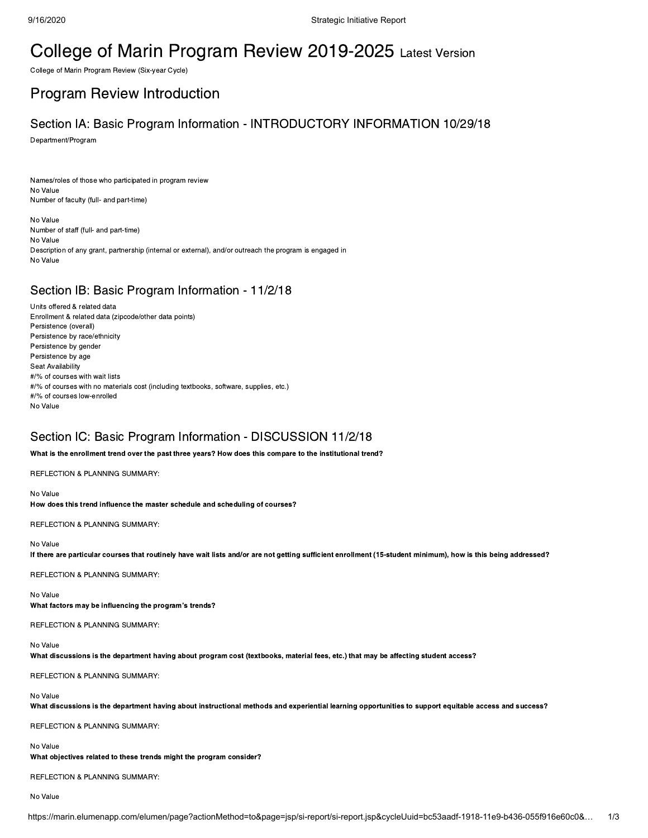# College of Marin Program Review 2019-2025 Latest Version

College of Marin Program Review (Six-year Cycle)

## Program Review Introduction

# Section IA: Basic Program Information - INTRODUCTORY INFORMATION 10/29/18

Department/Program

Names/roles of those who participated in program review No Value Number of faculty (full- and part-time)

No Value Number of staff (full- and part-time) No Value Description of any grant, partnership (internal or external), and/or outreach the program is engaged in No Value

## Section IB: Basic Program Information - 11/2/18

Units offered & related data Enrollment & related data (zipcode/other data points) Persistence (overall) Persistence by race/ethnicity Persistence by gender Persistence by age Seat Availability #/% of courses with wait lists #/% of courses with no materials cost (including textbooks, software, supplies, etc.) #/% of courses low-enrolled No Value

## Section IC: Basic Program Information - DISCUSSION 11/2/18

What is the enrollment trend over the past three years? How does this compare to the institutional trend?

REFLECTION & PLANNING SUMMARY:

No Value

How does this trend influence the master schedule and scheduling of courses?

REFLECTION & PLANNING SUMMARY:

### No Value

If there are particular courses that routinely have wait lists and/or are not getting sufficient enrollment (15-student minimum), how is this being addressed?

REFLECTION & PLANNING SUMMARY:

### No Value

What factors may be influencing the program's trends?

REFLECTION & PLANNING SUMMARY:

### No Value

What discussions is the department having about program cost (textbooks, material fees, etc.) that may be affecting student access?

REFLECTION & PLANNING SUMMARY:

### No Value

What discussions is the department having about instructional methods and experiential learning opportunities to support equitable access and success?

REFLECTION & PLANNING SUMMARY:

### No Value

What objectives related to these trends might the program consider?

REFLECTION & PLANNING SUMMARY:

No Value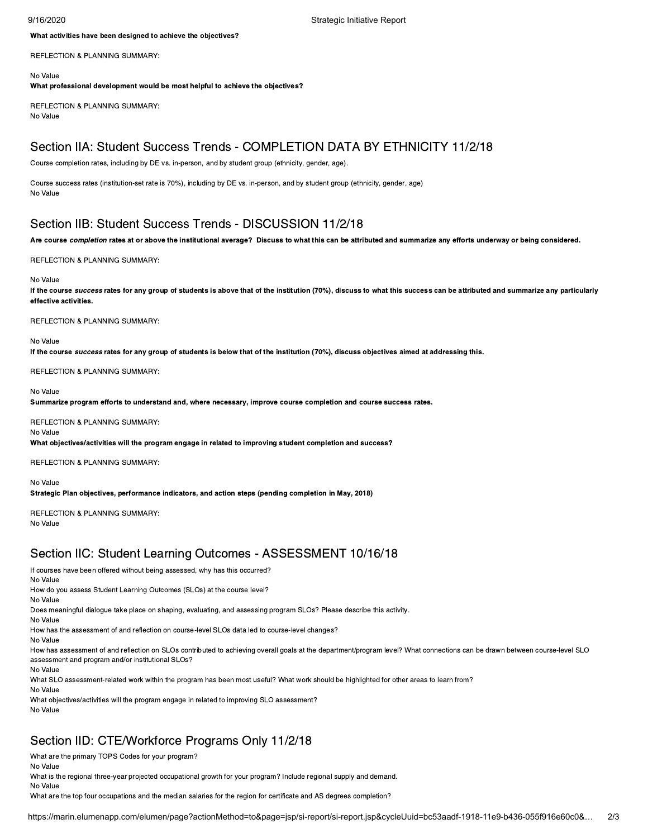9/16/2020 Strategic Initiative Report

What activities have been designed to achieve the objectives?

REFLECTION & PLANNING SUMMARY:

No Value

What professional development would be most helpful to achieve the objectives?

REFLECTION & PLANNING SUMMARY: No Value

## Section IIA: Student Success Trends - COMPLETION DATA BY ETHNICITY 11/2/18

Course completion rates, including by DE vs. in-person, and by student group (ethnicity, gender, age).

Course success rates (institution-set rate is 70%), including by DE vs. in-person, and by student group (ethnicity, gender, age) No Value

## Section IIB: Student Success Trends - DISCUSSION 11/2/18

Are course completion rates at or above the institutional average? Discuss to what this can be attributed and summarize any efforts underway or being considered.

REFLECTION & PLANNING SUMMARY:

### No Value

If the course success rates for any group of students is above that of the institution (70%), discuss to what this success can be attributed and summarize any particularly effective activities.

REFLECTION & PLANNING SUMMARY:

No Value

If the course success rates for any group of students is below that of the institution (70%), discuss objectives aimed at addressing this.

REFLECTION & PLANNING SUMMARY:

### No Value

Summarize program efforts to understand and, where necessary, improve course completion and course success rates.

REFLECTION & PLANNING SUMMARY: No Value

What objectives/activities will the program engage in related to improving student completion and success?

REFLECTION & PLANNING SUMMARY:

Strategic Plan objectives, performance indicators, and action steps (pending completion in May, 2018) REFLECTION & PLANNING SUMMARY:

No Value

No Value

## Section IIC: Student Learning Outcomes - ASSESSMENT 10/16/18

If courses have been offered without being assessed, why has this occurred? No Value How do you assess Student Learning Outcomes (SLOs) at the course level? No Value Does meaningful dialogue take place on shaping, evaluating, and assessing program SLOs? Please describe this activity. No Value How has the assessment of and reflection on course-level SLOs data led to course-level changes? No Value How has assessment of and reflection on SLOs contributed to achieving overall goals at the department/program level? What connections can be drawn between course-level SLO assessment and program and/or institutional SLOs? No Value What SLO assessment-related work within the program has been most useful? What work should be highlighted for other areas to learn from? No Value

What objectives/activities will the program engage in related to improving SLO assessment? No Value

## Section IID: CTE/Workforce Programs Only 11/2/18

What are the primary TOPS Codes for your program?

No Value

What is the regional three-year projected occupational growth for your program? Include regional supply and demand. No Value

What are the top four occupations and the median salaries for the region for certificate and AS degrees completion?